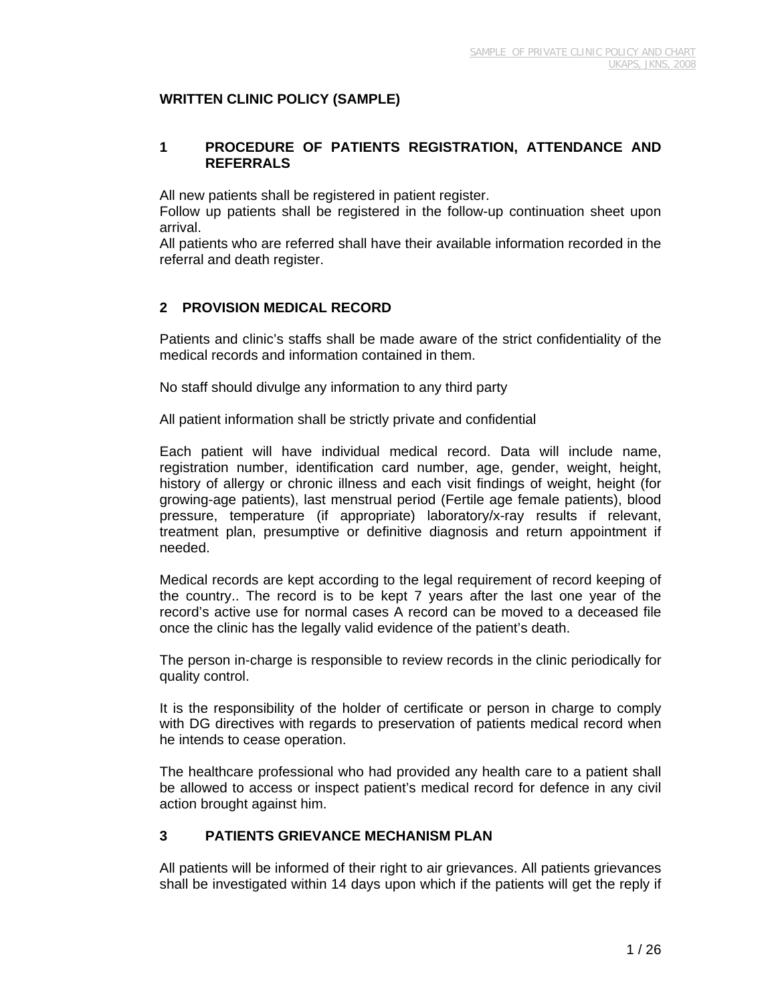## **WRITTEN CLINIC POLICY (SAMPLE)**

## **1 PROCEDURE OF PATIENTS REGISTRATION, ATTENDANCE AND REFERRALS**

All new patients shall be registered in patient register.

Follow up patients shall be registered in the follow-up continuation sheet upon arrival.

All patients who are referred shall have their available information recorded in the referral and death register.

## **2 PROVISION MEDICAL RECORD**

Patients and clinic's staffs shall be made aware of the strict confidentiality of the medical records and information contained in them.

No staff should divulge any information to any third party

All patient information shall be strictly private and confidential

Each patient will have individual medical record. Data will include name, registration number, identification card number, age, gender, weight, height, history of allergy or chronic illness and each visit findings of weight, height (for growing-age patients), last menstrual period (Fertile age female patients), blood pressure, temperature (if appropriate) laboratory/x-ray results if relevant, treatment plan, presumptive or definitive diagnosis and return appointment if needed.

Medical records are kept according to the legal requirement of record keeping of the country.. The record is to be kept 7 years after the last one year of the record's active use for normal cases A record can be moved to a deceased file once the clinic has the legally valid evidence of the patient's death.

The person in-charge is responsible to review records in the clinic periodically for quality control.

It is the responsibility of the holder of certificate or person in charge to comply with DG directives with regards to preservation of patients medical record when he intends to cease operation.

The healthcare professional who had provided any health care to a patient shall be allowed to access or inspect patient's medical record for defence in any civil action brought against him.

## **3 PATIENTS GRIEVANCE MECHANISM PLAN**

All patients will be informed of their right to air grievances. All patients grievances shall be investigated within 14 days upon which if the patients will get the reply if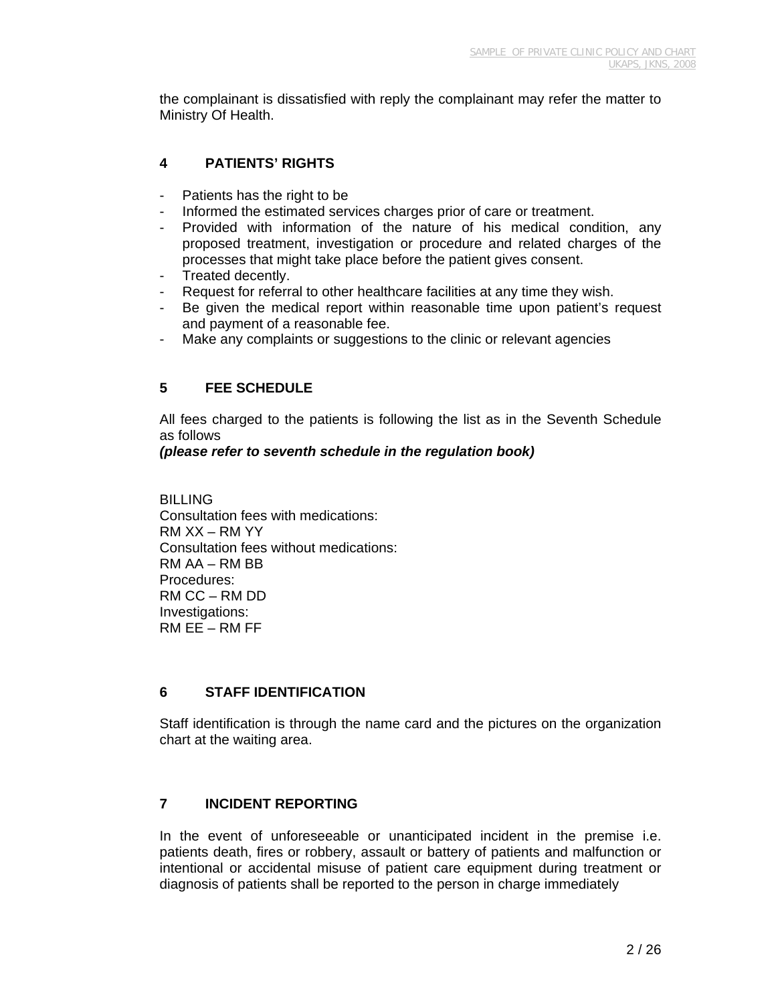the complainant is dissatisfied with reply the complainant may refer the matter to Ministry Of Health.

## **4 PATIENTS' RIGHTS**

- Patients has the right to be
- Informed the estimated services charges prior of care or treatment.
- Provided with information of the nature of his medical condition, any proposed treatment, investigation or procedure and related charges of the processes that might take place before the patient gives consent.
- Treated decently.
- Request for referral to other healthcare facilities at any time they wish.
- Be given the medical report within reasonable time upon patient's request and payment of a reasonable fee.
- Make any complaints or suggestions to the clinic or relevant agencies

## **5 FEE SCHEDULE**

All fees charged to the patients is following the list as in the Seventh Schedule as follows

## *(please refer to seventh schedule in the regulation book)*

**BILLING**  Consultation fees with medications: RM XX – RM YY Consultation fees without medications: RM AA – RM BB Procedures: RM CC – RM DD Investigations: RM EE – RM FF

## **6 STAFF IDENTIFICATION**

Staff identification is through the name card and the pictures on the organization chart at the waiting area.

## **7 INCIDENT REPORTING**

In the event of unforeseeable or unanticipated incident in the premise i.e. patients death, fires or robbery, assault or battery of patients and malfunction or intentional or accidental misuse of patient care equipment during treatment or diagnosis of patients shall be reported to the person in charge immediately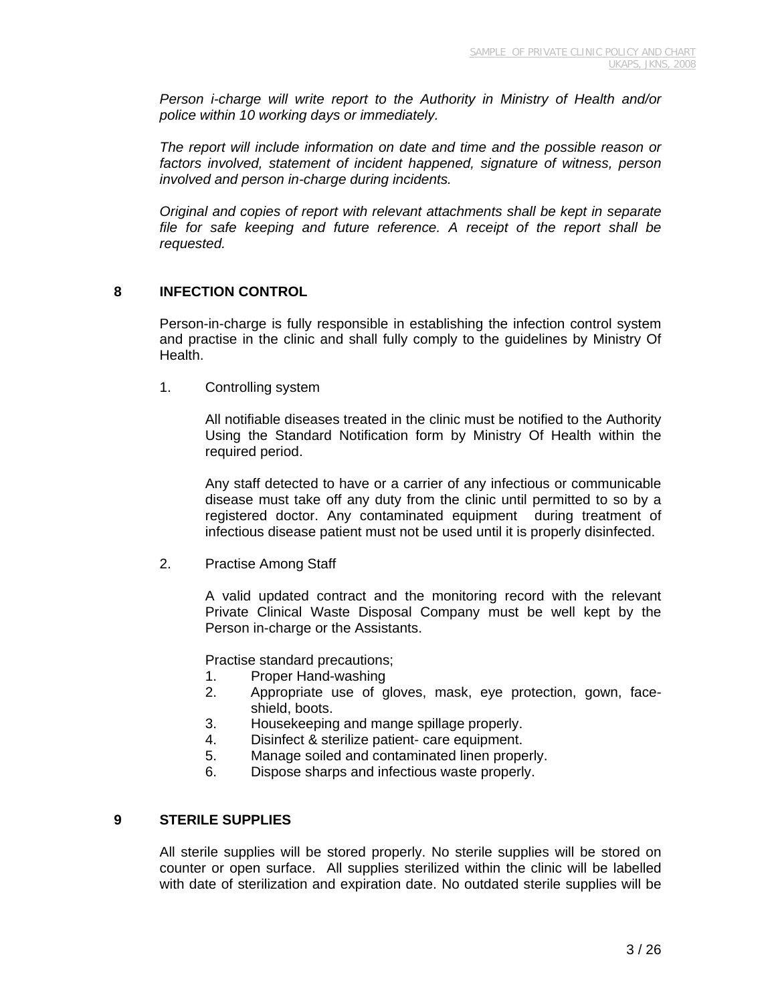*Person i-charge will write report to the Authority in Ministry of Health and/or police within 10 working days or immediately.* 

*The report will include information on date and time and the possible reason or*  factors involved, statement of incident happened, signature of witness, person *involved and person in-charge during incidents.* 

*Original and copies of report with relevant attachments shall be kept in separate file for safe keeping and future reference. A receipt of the report shall be requested.* 

## **8 INFECTION CONTROL**

Person-in-charge is fully responsible in establishing the infection control system and practise in the clinic and shall fully comply to the guidelines by Ministry Of Health.

1. Controlling system

All notifiable diseases treated in the clinic must be notified to the Authority Using the Standard Notification form by Ministry Of Health within the required period.

Any staff detected to have or a carrier of any infectious or communicable disease must take off any duty from the clinic until permitted to so by a registered doctor. Any contaminated equipment during treatment of infectious disease patient must not be used until it is properly disinfected.

2. Practise Among Staff

A valid updated contract and the monitoring record with the relevant Private Clinical Waste Disposal Company must be well kept by the Person in-charge or the Assistants.

Practise standard precautions;

- 1. Proper Hand-washing
- 2. Appropriate use of gloves, mask, eye protection, gown, faceshield, boots.
- 3. Housekeeping and mange spillage properly.
- 4. Disinfect & sterilize patient- care equipment.
- 5. Manage soiled and contaminated linen properly.
- 6. Dispose sharps and infectious waste properly.

#### **9 STERILE SUPPLIES**

All sterile supplies will be stored properly. No sterile supplies will be stored on counter or open surface. All supplies sterilized within the clinic will be labelled with date of sterilization and expiration date. No outdated sterile supplies will be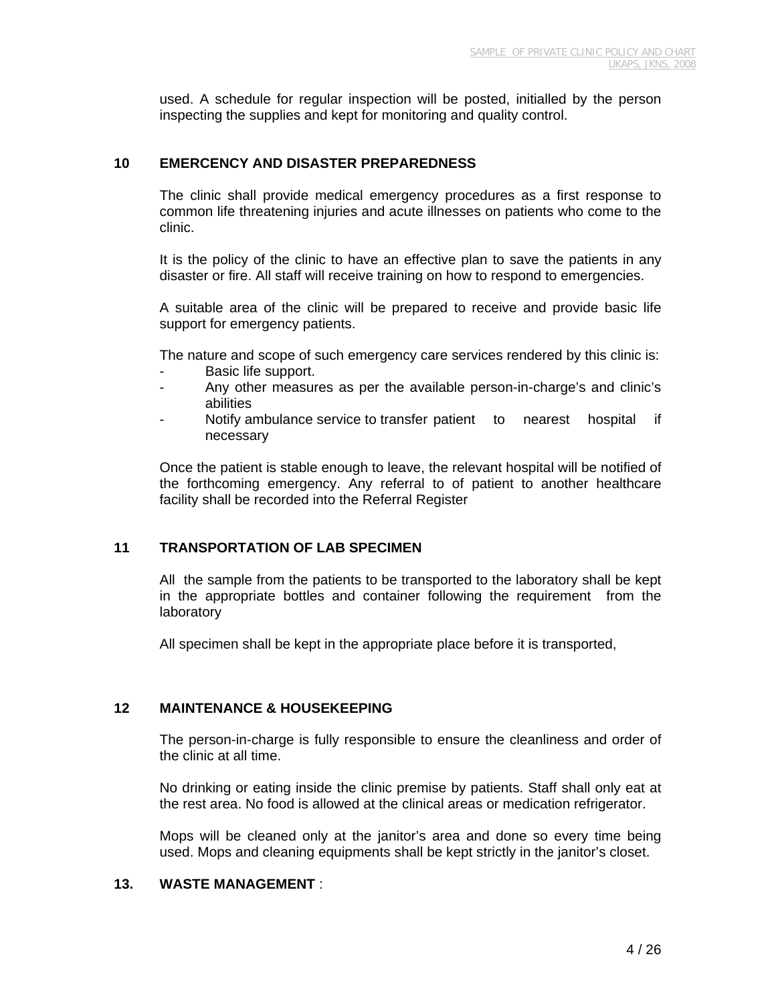used. A schedule for regular inspection will be posted, initialled by the person inspecting the supplies and kept for monitoring and quality control.

### **10 EMERCENCY AND DISASTER PREPAREDNESS**

The clinic shall provide medical emergency procedures as a first response to common life threatening injuries and acute illnesses on patients who come to the clinic.

It is the policy of the clinic to have an effective plan to save the patients in any disaster or fire. All staff will receive training on how to respond to emergencies.

A suitable area of the clinic will be prepared to receive and provide basic life support for emergency patients.

The nature and scope of such emergency care services rendered by this clinic is:

- Basic life support.
- Any other measures as per the available person-in-charge's and clinic's abilities
- Notify ambulance service to transfer patient to nearest hospital if necessary

Once the patient is stable enough to leave, the relevant hospital will be notified of the forthcoming emergency. Any referral to of patient to another healthcare facility shall be recorded into the Referral Register

#### **11 TRANSPORTATION OF LAB SPECIMEN**

All the sample from the patients to be transported to the laboratory shall be kept in the appropriate bottles and container following the requirement from the laboratory

All specimen shall be kept in the appropriate place before it is transported,

#### **12 MAINTENANCE & HOUSEKEEPING**

The person-in-charge is fully responsible to ensure the cleanliness and order of the clinic at all time.

No drinking or eating inside the clinic premise by patients. Staff shall only eat at the rest area. No food is allowed at the clinical areas or medication refrigerator.

Mops will be cleaned only at the janitor's area and done so every time being used. Mops and cleaning equipments shall be kept strictly in the janitor's closet.

### **13. WASTE MANAGEMENT** :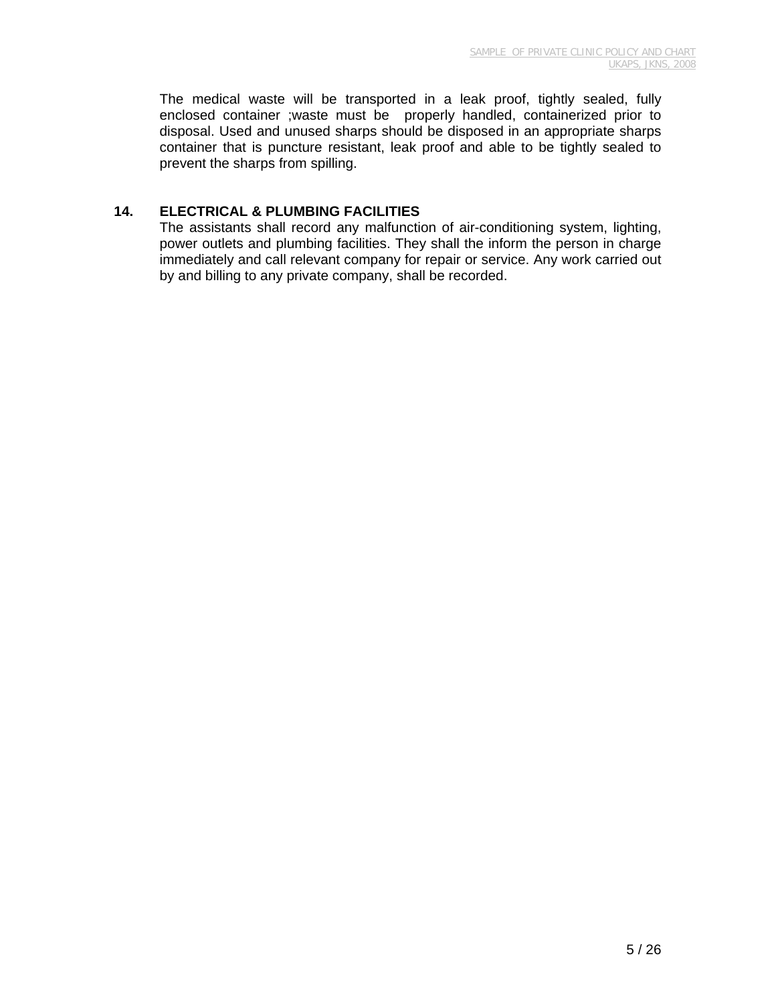The medical waste will be transported in a leak proof, tightly sealed, fully enclosed container ;waste must be properly handled, containerized prior to disposal. Used and unused sharps should be disposed in an appropriate sharps container that is puncture resistant, leak proof and able to be tightly sealed to prevent the sharps from spilling.

## **14. ELECTRICAL & PLUMBING FACILITIES**

The assistants shall record any malfunction of air-conditioning system, lighting, power outlets and plumbing facilities. They shall the inform the person in charge immediately and call relevant company for repair or service. Any work carried out by and billing to any private company, shall be recorded.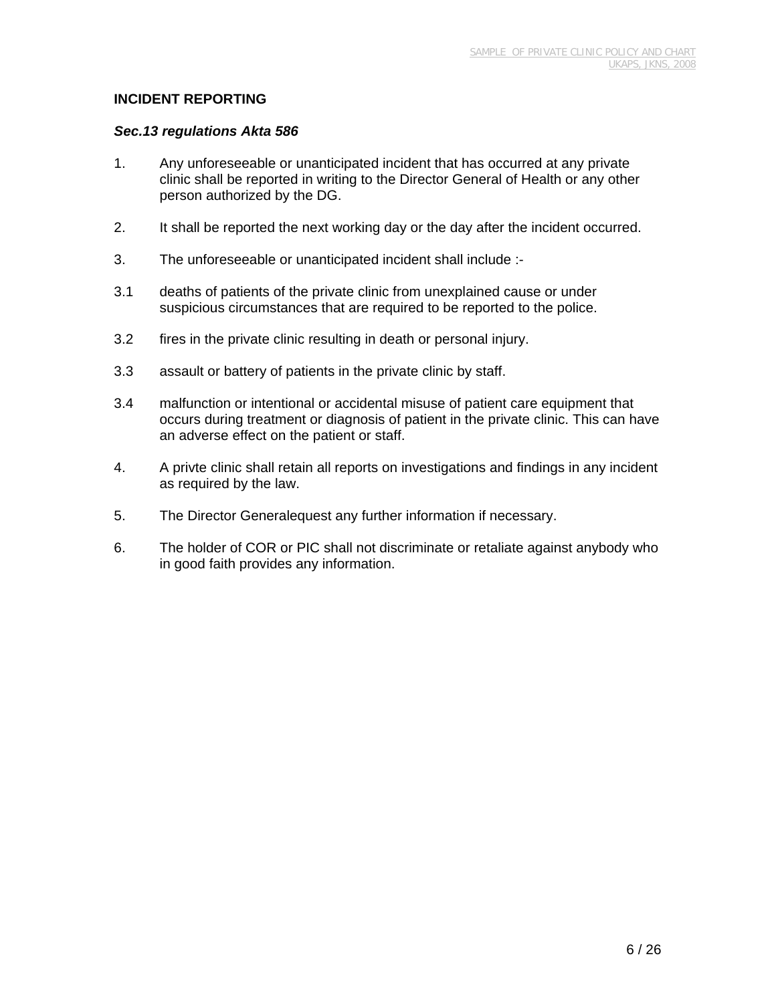## **INCIDENT REPORTING**

#### *Sec.13 regulations Akta 586*

- 1. Any unforeseeable or unanticipated incident that has occurred at any private clinic shall be reported in writing to the Director General of Health or any other person authorized by the DG.
- 2. It shall be reported the next working day or the day after the incident occurred.
- 3. The unforeseeable or unanticipated incident shall include :-
- 3.1 deaths of patients of the private clinic from unexplained cause or under suspicious circumstances that are required to be reported to the police.
- 3.2 fires in the private clinic resulting in death or personal injury.
- 3.3 assault or battery of patients in the private clinic by staff.
- 3.4 malfunction or intentional or accidental misuse of patient care equipment that occurs during treatment or diagnosis of patient in the private clinic. This can have an adverse effect on the patient or staff.
- 4. A privte clinic shall retain all reports on investigations and findings in any incident as required by the law.
- 5. The Director Generalequest any further information if necessary.
- 6. The holder of COR or PIC shall not discriminate or retaliate against anybody who in good faith provides any information.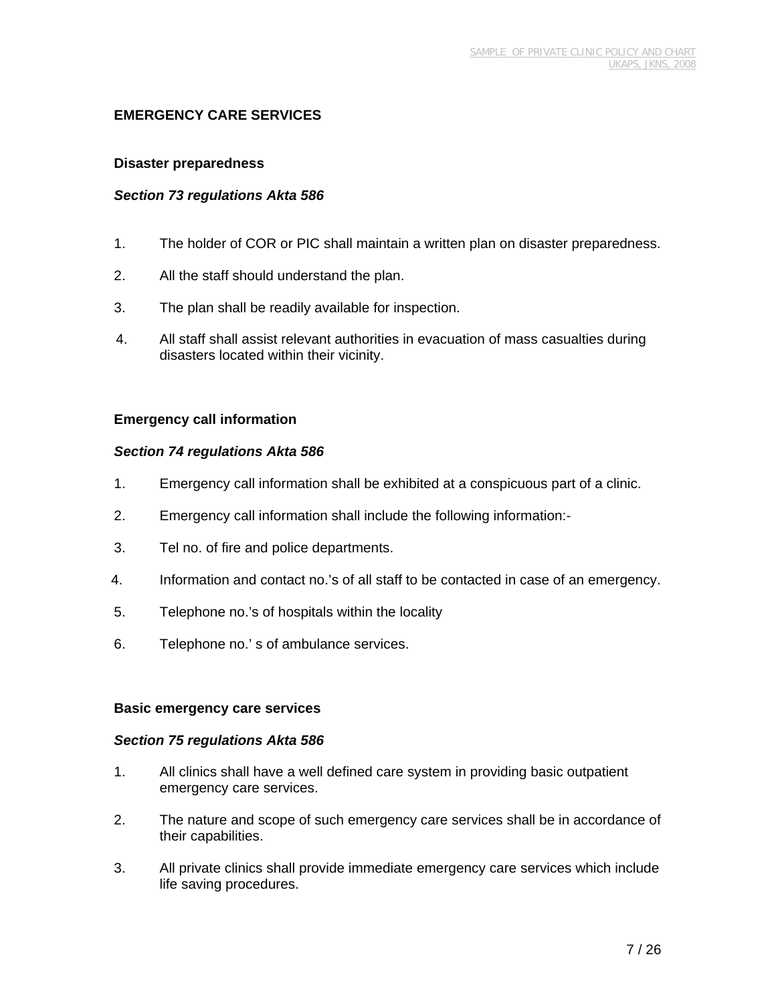## **EMERGENCY CARE SERVICES**

#### **Disaster preparedness**

### *Section 73 regulations Akta 586*

- 1. The holder of COR or PIC shall maintain a written plan on disaster preparedness.
- 2. All the staff should understand the plan.
- 3. The plan shall be readily available for inspection.
- 4. All staff shall assist relevant authorities in evacuation of mass casualties during disasters located within their vicinity.

#### **Emergency call information**

#### *Section 74 regulations Akta 586*

- 1. Emergency call information shall be exhibited at a conspicuous part of a clinic.
- 2. Emergency call information shall include the following information:-
- 3. Tel no. of fire and police departments.
- 4. Information and contact no.'s of all staff to be contacted in case of an emergency.
- 5. Telephone no.'s of hospitals within the locality
- 6. Telephone no.' s of ambulance services.

#### **Basic emergency care services**

#### *Section 75 regulations Akta 586*

- 1. All clinics shall have a well defined care system in providing basic outpatient emergency care services.
- 2. The nature and scope of such emergency care services shall be in accordance of their capabilities.
- 3. All private clinics shall provide immediate emergency care services which include life saving procedures.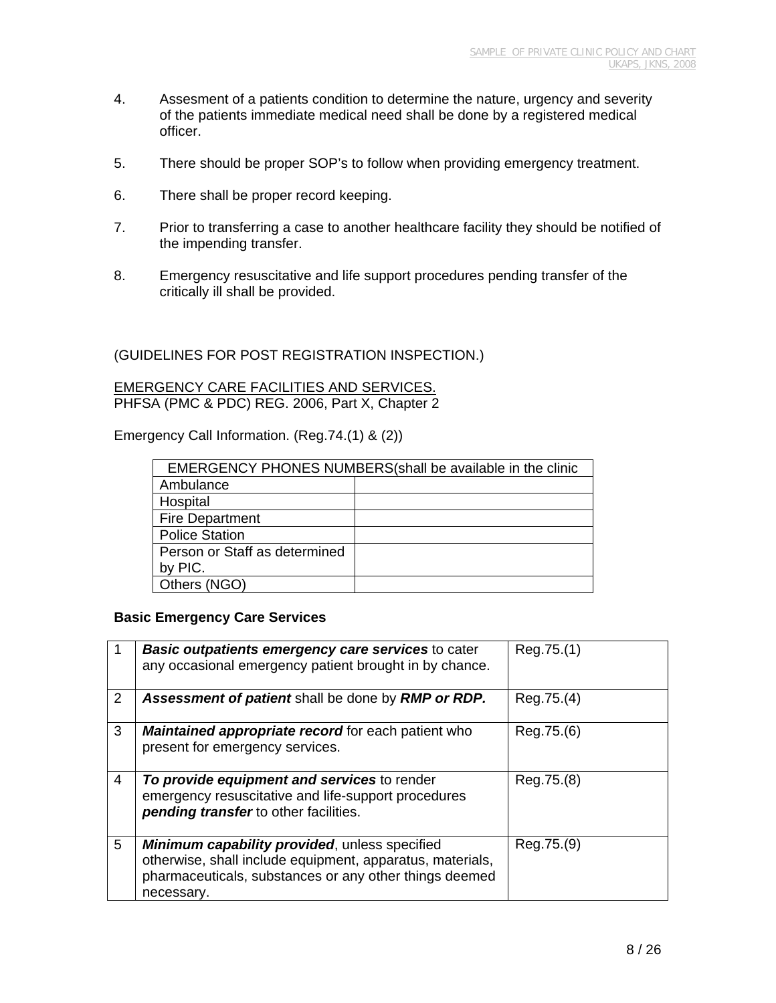- 4. Assesment of a patients condition to determine the nature, urgency and severity of the patients immediate medical need shall be done by a registered medical officer.
- 5. There should be proper SOP's to follow when providing emergency treatment.
- 6. There shall be proper record keeping.
- 7. Prior to transferring a case to another healthcare facility they should be notified of the impending transfer.
- 8. Emergency resuscitative and life support procedures pending transfer of the critically ill shall be provided.

## (GUIDELINES FOR POST REGISTRATION INSPECTION.)

EMERGENCY CARE FACILITIES AND SERVICES. PHFSA (PMC & PDC) REG. 2006, Part X, Chapter 2

Emergency Call Information. (Reg.74.(1) & (2))

| EMERGENCY PHONES NUMBERS(shall be available in the clinic |  |  |
|-----------------------------------------------------------|--|--|
| Ambulance                                                 |  |  |
| Hospital                                                  |  |  |
| <b>Fire Department</b>                                    |  |  |
| <b>Police Station</b>                                     |  |  |
| Person or Staff as determined                             |  |  |
| by PIC.                                                   |  |  |
| Others (NGO)                                              |  |  |

#### **Basic Emergency Care Services**

|                | <b>Basic outpatients emergency care services to cater</b><br>any occasional emergency patient brought in by chance.                                                                       | Reg.75.(1) |
|----------------|-------------------------------------------------------------------------------------------------------------------------------------------------------------------------------------------|------------|
| 2              | Assessment of patient shall be done by RMP or RDP.                                                                                                                                        | Reg.75.(4) |
| 3              | <b>Maintained appropriate record for each patient who</b><br>present for emergency services.                                                                                              | Reg.75.(6) |
| $\overline{4}$ | To provide equipment and services to render<br>emergency resuscitative and life-support procedures<br>pending transfer to other facilities.                                               | Reg.75.(8) |
| 5              | <b>Minimum capability provided, unless specified</b><br>otherwise, shall include equipment, apparatus, materials,<br>pharmaceuticals, substances or any other things deemed<br>necessary. | Reg.75.(9) |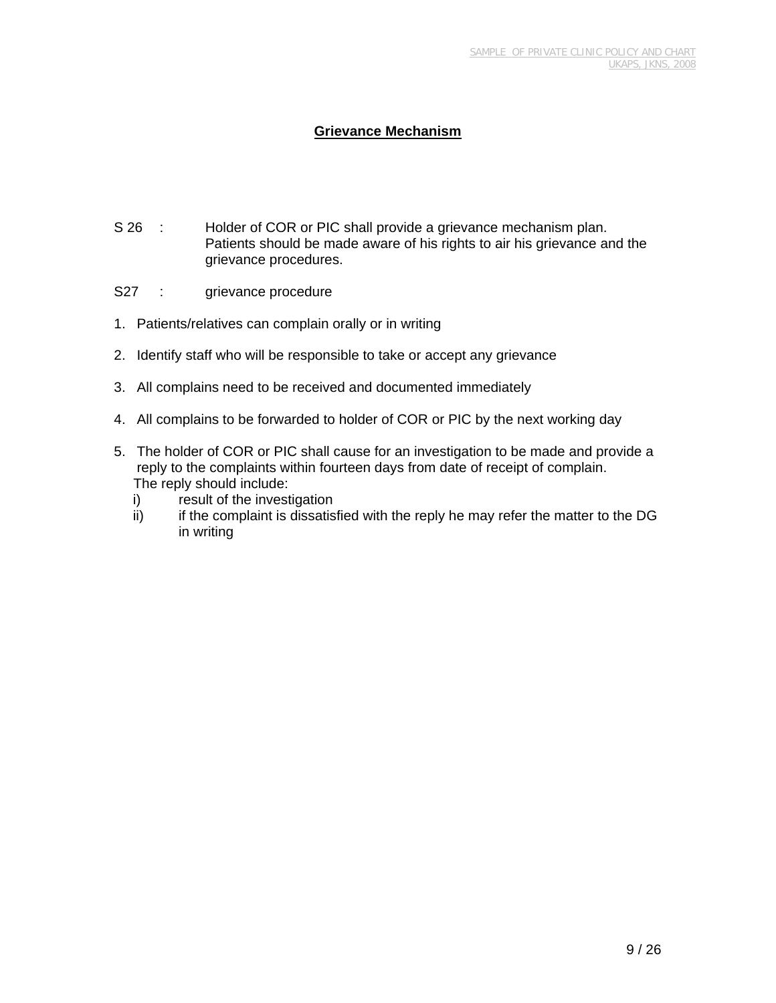## **Grievance Mechanism**

- S 26 : Holder of COR or PIC shall provide a grievance mechanism plan. Patients should be made aware of his rights to air his grievance and the grievance procedures.
- S27 : grievance procedure
- 1. Patients/relatives can complain orally or in writing
- 2. Identify staff who will be responsible to take or accept any grievance
- 3. All complains need to be received and documented immediately
- 4. All complains to be forwarded to holder of COR or PIC by the next working day
- 5. The holder of COR or PIC shall cause for an investigation to be made and provide a reply to the complaints within fourteen days from date of receipt of complain. The reply should include:
	- i) result of the investigation
	- ii) if the complaint is dissatisfied with the reply he may refer the matter to the DG in writing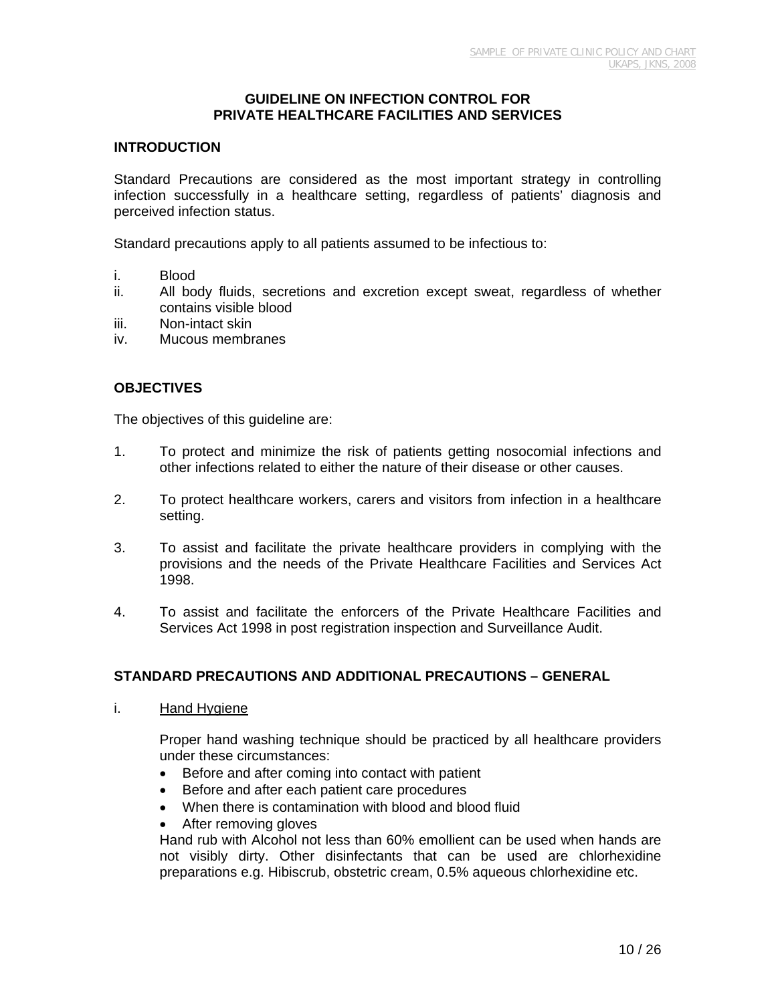### **GUIDELINE ON INFECTION CONTROL FOR PRIVATE HEALTHCARE FACILITIES AND SERVICES**

### **INTRODUCTION**

Standard Precautions are considered as the most important strategy in controlling infection successfully in a healthcare setting, regardless of patients' diagnosis and perceived infection status.

Standard precautions apply to all patients assumed to be infectious to:

- i. Blood
- ii. All body fluids, secretions and excretion except sweat, regardless of whether contains visible blood
- iii. Non-intact skin
- iv. Mucous membranes

### **OBJECTIVES**

The objectives of this guideline are:

- 1. To protect and minimize the risk of patients getting nosocomial infections and other infections related to either the nature of their disease or other causes.
- 2. To protect healthcare workers, carers and visitors from infection in a healthcare setting.
- 3. To assist and facilitate the private healthcare providers in complying with the provisions and the needs of the Private Healthcare Facilities and Services Act 1998.
- 4. To assist and facilitate the enforcers of the Private Healthcare Facilities and Services Act 1998 in post registration inspection and Surveillance Audit.

## **STANDARD PRECAUTIONS AND ADDITIONAL PRECAUTIONS – GENERAL**

i. Hand Hygiene

 Proper hand washing technique should be practiced by all healthcare providers under these circumstances:

- Before and after coming into contact with patient
- Before and after each patient care procedures
- When there is contamination with blood and blood fluid
- After removing gloves

Hand rub with Alcohol not less than 60% emollient can be used when hands are not visibly dirty. Other disinfectants that can be used are chlorhexidine preparations e.g. Hibiscrub, obstetric cream, 0.5% aqueous chlorhexidine etc.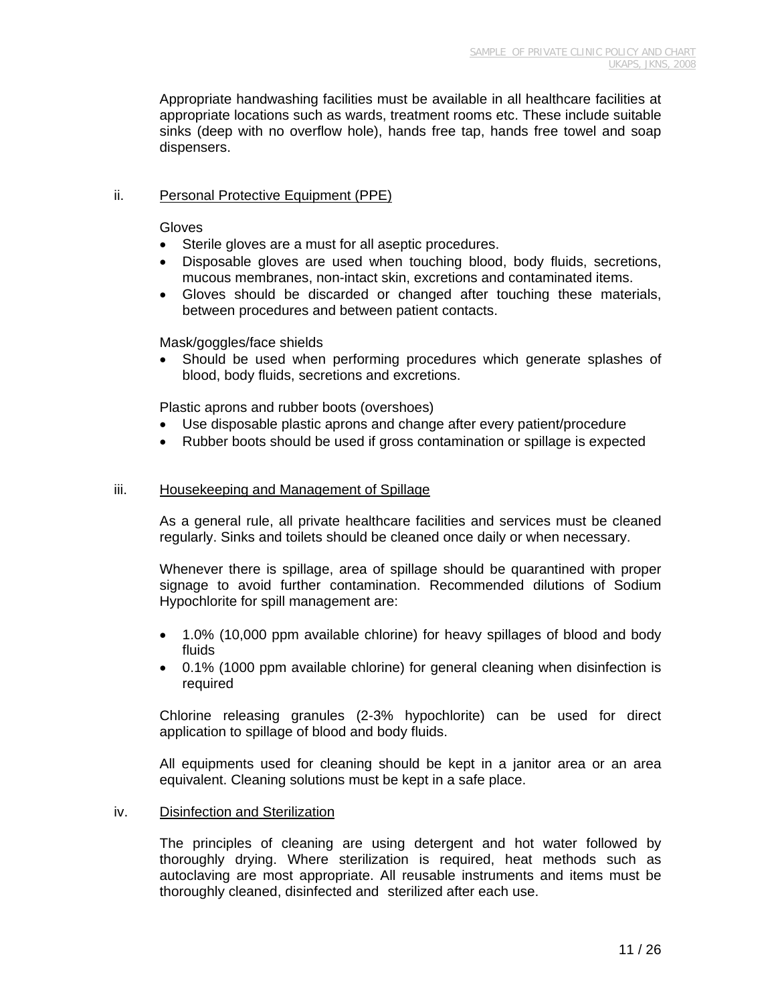Appropriate handwashing facilities must be available in all healthcare facilities at appropriate locations such as wards, treatment rooms etc. These include suitable sinks (deep with no overflow hole), hands free tap, hands free towel and soap dispensers.

## ii. Personal Protective Equipment (PPE)

**Gloves** 

- Sterile gloves are a must for all aseptic procedures.
- Disposable gloves are used when touching blood, body fluids, secretions, mucous membranes, non-intact skin, excretions and contaminated items.
- Gloves should be discarded or changed after touching these materials, between procedures and between patient contacts.

Mask/goggles/face shields

Should be used when performing procedures which generate splashes of blood, body fluids, secretions and excretions.

Plastic aprons and rubber boots (overshoes)

- Use disposable plastic aprons and change after every patient/procedure
- Rubber boots should be used if gross contamination or spillage is expected

#### iii. Housekeeping and Management of Spillage

 As a general rule, all private healthcare facilities and services must be cleaned regularly. Sinks and toilets should be cleaned once daily or when necessary.

 Whenever there is spillage, area of spillage should be quarantined with proper signage to avoid further contamination. Recommended dilutions of Sodium Hypochlorite for spill management are:

- 1.0% (10,000 ppm available chlorine) for heavy spillages of blood and body fluids
- 0.1% (1000 ppm available chlorine) for general cleaning when disinfection is required

 Chlorine releasing granules (2-3% hypochlorite) can be used for direct application to spillage of blood and body fluids.

 All equipments used for cleaning should be kept in a janitor area or an area equivalent. Cleaning solutions must be kept in a safe place.

#### iv. Disinfection and Sterilization

 The principles of cleaning are using detergent and hot water followed by thoroughly drying. Where sterilization is required, heat methods such as autoclaving are most appropriate. All reusable instruments and items must be thoroughly cleaned, disinfected and sterilized after each use.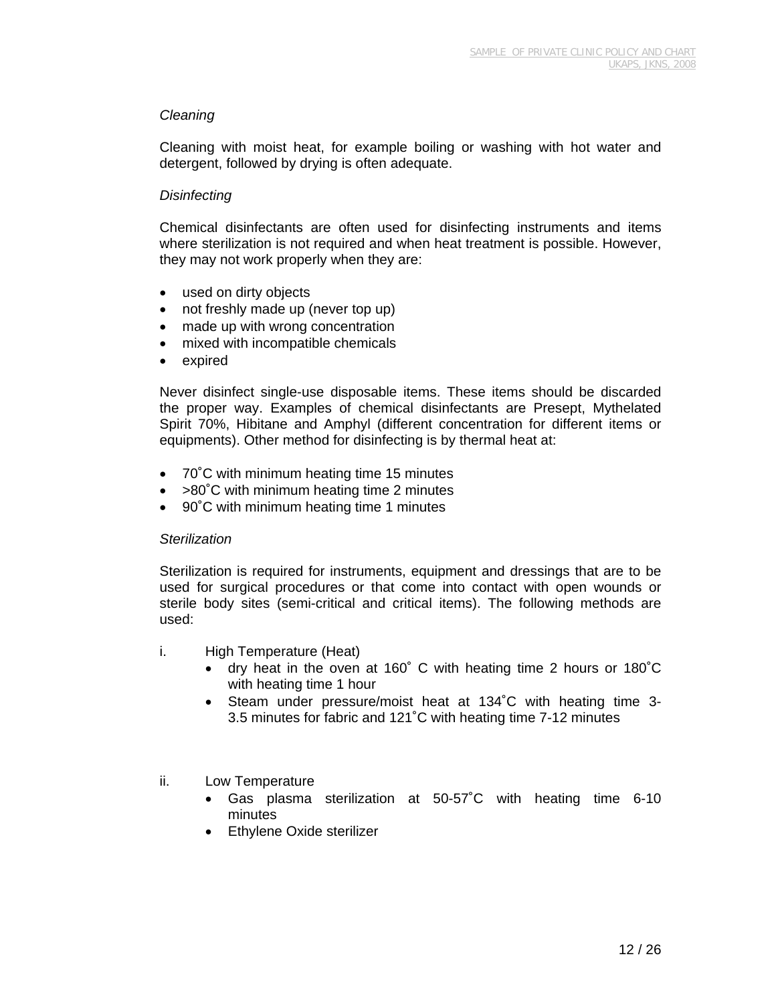## *Cleaning*

 Cleaning with moist heat, for example boiling or washing with hot water and detergent, followed by drying is often adequate.

#### *Disinfecting*

 Chemical disinfectants are often used for disinfecting instruments and items where sterilization is not required and when heat treatment is possible. However, they may not work properly when they are:

- used on dirty objects
- not freshly made up (never top up)
- made up with wrong concentration
- mixed with incompatible chemicals
- expired

Never disinfect single-use disposable items. These items should be discarded the proper way. Examples of chemical disinfectants are Presept, Mythelated Spirit 70%, Hibitane and Amphyl (different concentration for different items or equipments). Other method for disinfecting is by thermal heat at:

- 70˚C with minimum heating time 15 minutes
- >80°C with minimum heating time 2 minutes
- 90°C with minimum heating time 1 minutes

#### *Sterilization*

Sterilization is required for instruments, equipment and dressings that are to be used for surgical procedures or that come into contact with open wounds or sterile body sites (semi-critical and critical items). The following methods are used:

- i. High Temperature (Heat)
	- dry heat in the oven at 160˚ C with heating time 2 hours or 180˚C with heating time 1 hour
	- Steam under pressure/moist heat at 134˚C with heating time 3- 3.5 minutes for fabric and 121˚C with heating time 7-12 minutes
- ii. Low Temperature
	- Gas plasma sterilization at 50-57˚C with heating time 6-10 minutes
	- Ethylene Oxide sterilizer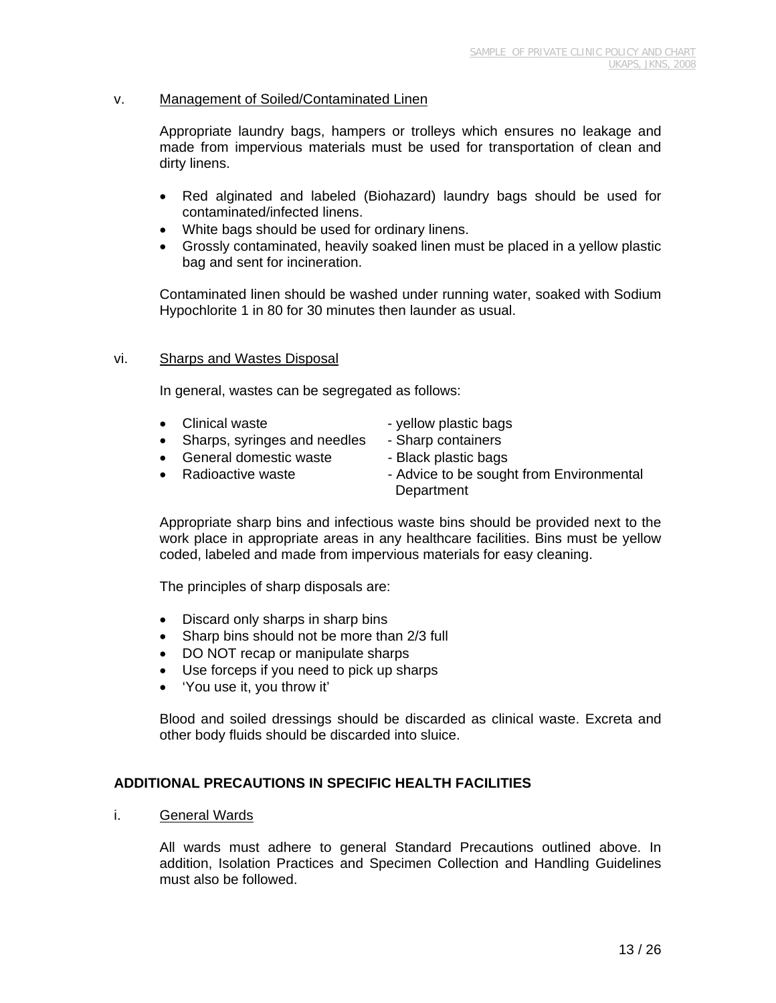#### v. Management of Soiled/Contaminated Linen

 Appropriate laundry bags, hampers or trolleys which ensures no leakage and made from impervious materials must be used for transportation of clean and dirty linens.

- Red alginated and labeled (Biohazard) laundry bags should be used for contaminated/infected linens.
- White bags should be used for ordinary linens.
- Grossly contaminated, heavily soaked linen must be placed in a yellow plastic bag and sent for incineration.

 Contaminated linen should be washed under running water, soaked with Sodium Hypochlorite 1 in 80 for 30 minutes then launder as usual.

#### vi. Sharps and Wastes Disposal

In general, wastes can be segregated as follows:

- 
- Sharps, syringes and needles Sharp containers
- General domestic waste Black plastic bags
- 
- Clinical waste  $\qquad \qquad$  yellow plastic bags
	-
	-
- Radioactive waste  **Advice to be sought from Environmental Department**

 Appropriate sharp bins and infectious waste bins should be provided next to the work place in appropriate areas in any healthcare facilities. Bins must be yellow coded, labeled and made from impervious materials for easy cleaning.

The principles of sharp disposals are:

- Discard only sharps in sharp bins
- Sharp bins should not be more than 2/3 full
- DO NOT recap or manipulate sharps
- Use forceps if you need to pick up sharps
- 'You use it, you throw it'

 Blood and soiled dressings should be discarded as clinical waste. Excreta and other body fluids should be discarded into sluice.

## **ADDITIONAL PRECAUTIONS IN SPECIFIC HEALTH FACILITIES**

i. General Wards

 All wards must adhere to general Standard Precautions outlined above. In addition, Isolation Practices and Specimen Collection and Handling Guidelines must also be followed.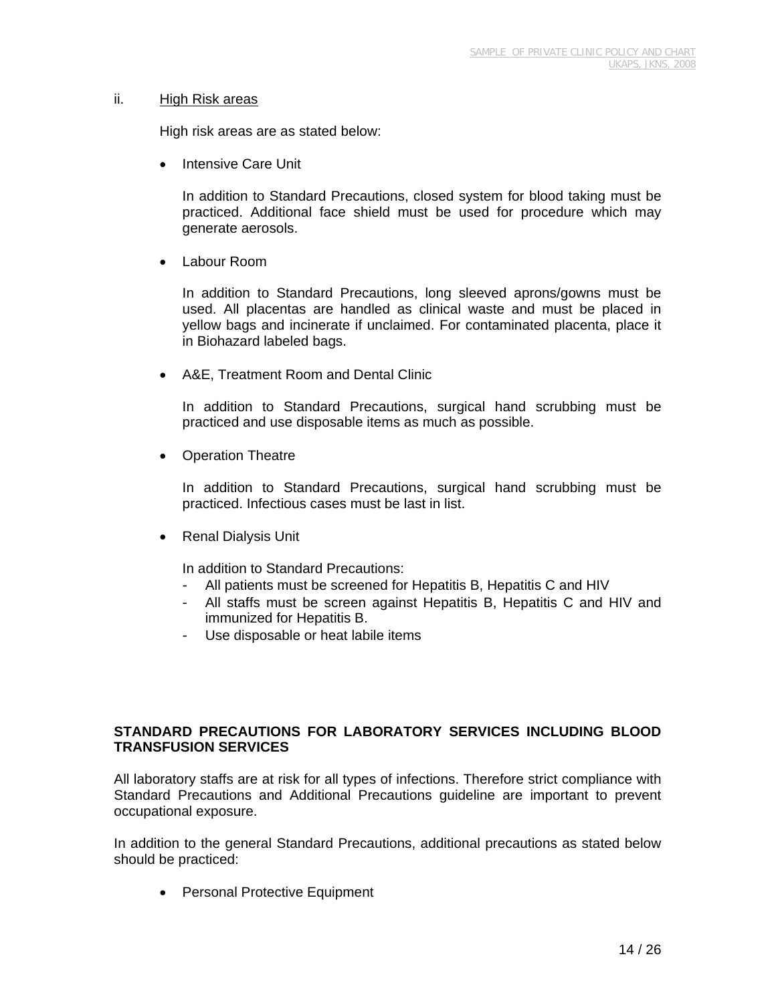#### ii. High Risk areas

High risk areas are as stated below:

• Intensive Care Unit

In addition to Standard Precautions, closed system for blood taking must be practiced. Additional face shield must be used for procedure which may generate aerosols.

• Labour Room

In addition to Standard Precautions, long sleeved aprons/gowns must be used. All placentas are handled as clinical waste and must be placed in yellow bags and incinerate if unclaimed. For contaminated placenta, place it in Biohazard labeled bags.

• A&E, Treatment Room and Dental Clinic

In addition to Standard Precautions, surgical hand scrubbing must be practiced and use disposable items as much as possible.

• Operation Theatre

In addition to Standard Precautions, surgical hand scrubbing must be practiced. Infectious cases must be last in list.

• Renal Dialysis Unit

In addition to Standard Precautions:

- All patients must be screened for Hepatitis B, Hepatitis C and HIV
- All staffs must be screen against Hepatitis B, Hepatitis C and HIV and immunized for Hepatitis B.
- Use disposable or heat labile items

## **STANDARD PRECAUTIONS FOR LABORATORY SERVICES INCLUDING BLOOD TRANSFUSION SERVICES**

All laboratory staffs are at risk for all types of infections. Therefore strict compliance with Standard Precautions and Additional Precautions guideline are important to prevent occupational exposure.

In addition to the general Standard Precautions, additional precautions as stated below should be practiced:

• Personal Protective Equipment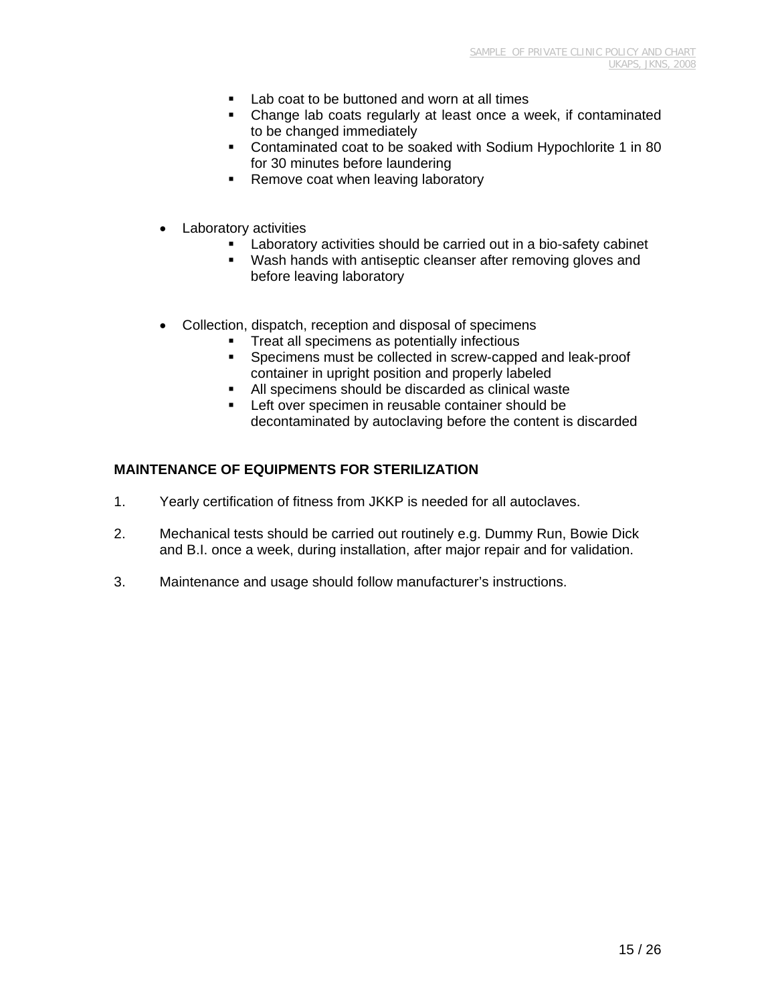- **Lab coat to be buttoned and worn at all times**
- Change lab coats regularly at least once a week, if contaminated to be changed immediately
- Contaminated coat to be soaked with Sodium Hypochlorite 1 in 80 for 30 minutes before laundering
- Remove coat when leaving laboratory
- Laboratory activities
	- Laboratory activities should be carried out in a bio-safety cabinet
	- Wash hands with antiseptic cleanser after removing gloves and before leaving laboratory
- Collection, dispatch, reception and disposal of specimens
	- Treat all specimens as potentially infectious
	- Specimens must be collected in screw-capped and leak-proof container in upright position and properly labeled
	- All specimens should be discarded as clinical waste
		- Left over specimen in reusable container should be decontaminated by autoclaving before the content is discarded

## **MAINTENANCE OF EQUIPMENTS FOR STERILIZATION**

- 1. Yearly certification of fitness from JKKP is needed for all autoclaves.
- 2. Mechanical tests should be carried out routinely e.g. Dummy Run, Bowie Dick and B.I. once a week, during installation, after major repair and for validation.
- 3. Maintenance and usage should follow manufacturer's instructions.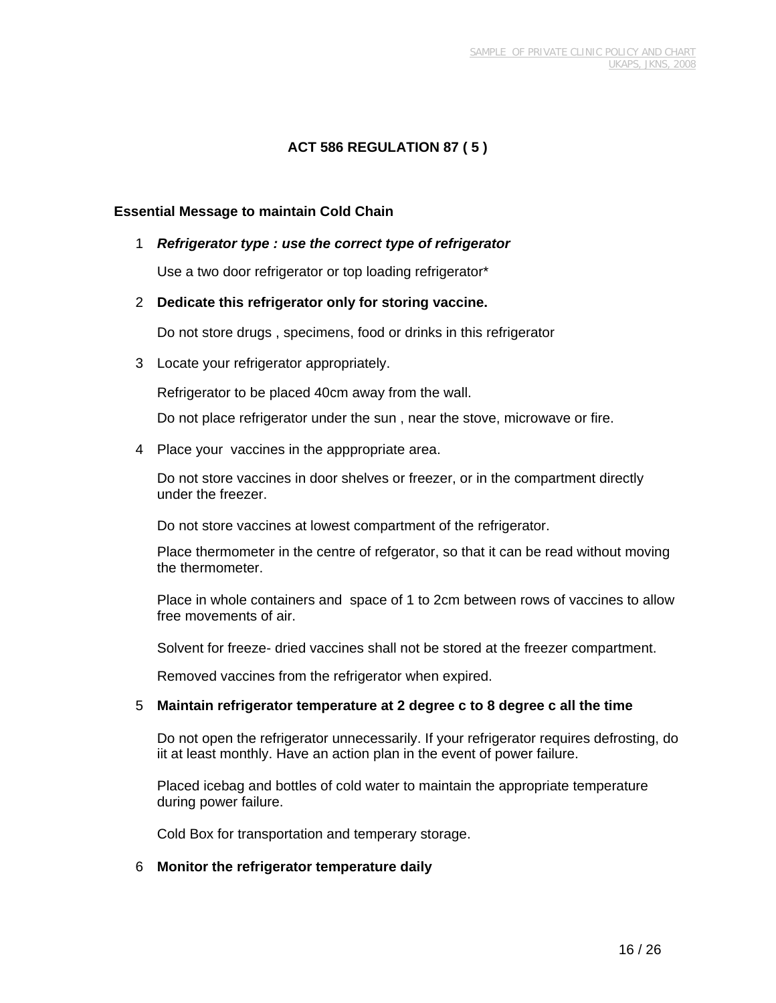## **ACT 586 REGULATION 87 ( 5 )**

#### **Essential Message to maintain Cold Chain**

### 1 *Refrigerator type : use the correct type of refrigerator*

Use a two door refrigerator or top loading refrigerator\*

### 2 **Dedicate this refrigerator only for storing vaccine.**

Do not store drugs , specimens, food or drinks in this refrigerator

3 Locate your refrigerator appropriately.

Refrigerator to be placed 40cm away from the wall.

Do not place refrigerator under the sun , near the stove, microwave or fire.

4 Place your vaccines in the apppropriate area.

 Do not store vaccines in door shelves or freezer, or in the compartment directly under the freezer.

Do not store vaccines at lowest compartment of the refrigerator.

 Place thermometer in the centre of refgerator, so that it can be read without moving the thermometer.

 Place in whole containers and space of 1 to 2cm between rows of vaccines to allow free movements of air.

Solvent for freeze- dried vaccines shall not be stored at the freezer compartment.

Removed vaccines from the refrigerator when expired.

#### 5 **Maintain refrigerator temperature at 2 degree c to 8 degree c all the time**

 Do not open the refrigerator unnecessarily. If your refrigerator requires defrosting, do iit at least monthly. Have an action plan in the event of power failure.

 Placed icebag and bottles of cold water to maintain the appropriate temperature during power failure.

Cold Box for transportation and temperary storage.

#### 6 **Monitor the refrigerator temperature daily**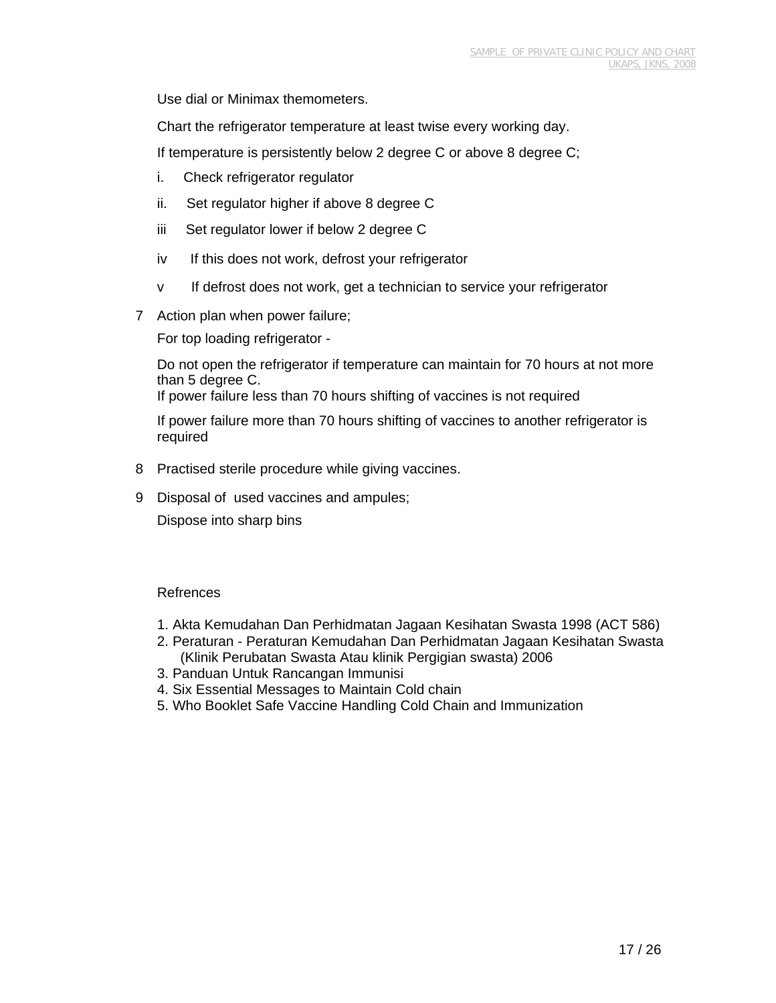Use dial or Minimax themometers.

Chart the refrigerator temperature at least twise every working day.

If temperature is persistently below 2 degree C or above 8 degree C;

- i. Check refrigerator regulator
- ii. Set regulator higher if above 8 degree C
- iii Set regulator lower if below 2 degree C
- iv If this does not work, defrost your refrigerator
- v If defrost does not work, get a technician to service your refrigerator
- 7 Action plan when power failure;

For top loading refrigerator -

 Do not open the refrigerator if temperature can maintain for 70 hours at not more than 5 degree C.

If power failure less than 70 hours shifting of vaccines is not required

 If power failure more than 70 hours shifting of vaccines to another refrigerator is required

- 8 Practised sterile procedure while giving vaccines.
- 9 Disposal of used vaccines and ampules;

Dispose into sharp bins

#### Refrences

- 1. Akta Kemudahan Dan Perhidmatan Jagaan Kesihatan Swasta 1998 (ACT 586)
- 2. Peraturan Peraturan Kemudahan Dan Perhidmatan Jagaan Kesihatan Swasta (Klinik Perubatan Swasta Atau klinik Pergigian swasta) 2006
- 3. Panduan Untuk Rancangan Immunisi
- 4. Six Essential Messages to Maintain Cold chain
- 5. Who Booklet Safe Vaccine Handling Cold Chain and Immunization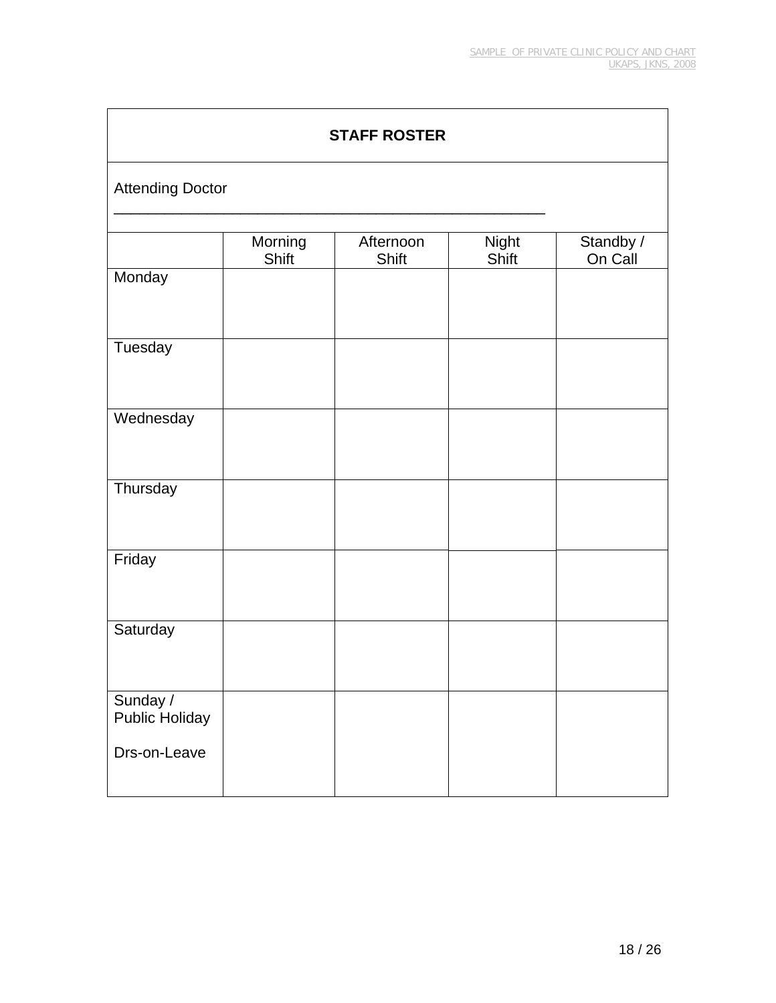$\overline{\phantom{0}}$ 

| <b>STAFF ROSTER</b>                               |                         |                    |                |                      |  |  |
|---------------------------------------------------|-------------------------|--------------------|----------------|----------------------|--|--|
|                                                   | <b>Attending Doctor</b> |                    |                |                      |  |  |
|                                                   | Morning<br>Shift        | Afternoon<br>Shift | Night<br>Shift | Standby /<br>On Call |  |  |
| Monday                                            |                         |                    |                |                      |  |  |
| Tuesday                                           |                         |                    |                |                      |  |  |
| Wednesday                                         |                         |                    |                |                      |  |  |
| Thursday                                          |                         |                    |                |                      |  |  |
| Friday                                            |                         |                    |                |                      |  |  |
| Saturday                                          |                         |                    |                |                      |  |  |
| Sunday /<br><b>Public Holiday</b><br>Drs-on-Leave |                         |                    |                |                      |  |  |

Ī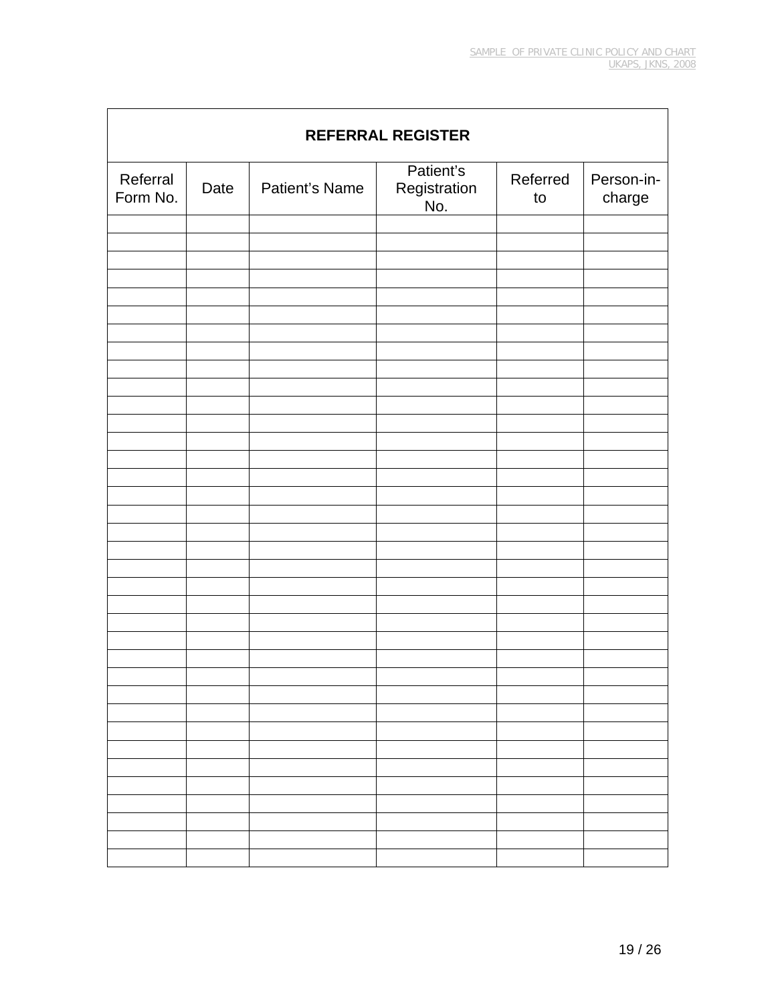|                      |      |                | <b>REFERRAL REGISTER</b>         |                |                      |
|----------------------|------|----------------|----------------------------------|----------------|----------------------|
| Referral<br>Form No. | Date | Patient's Name | Patient's<br>Registration<br>No. | Referred<br>to | Person-in-<br>charge |
|                      |      |                |                                  |                |                      |
|                      |      |                |                                  |                |                      |
|                      |      |                |                                  |                |                      |
|                      |      |                |                                  |                |                      |
|                      |      |                |                                  |                |                      |
|                      |      |                |                                  |                |                      |
|                      |      |                |                                  |                |                      |
|                      |      |                |                                  |                |                      |
|                      |      |                |                                  |                |                      |
|                      |      |                |                                  |                |                      |
|                      |      |                |                                  |                |                      |
|                      |      |                |                                  |                |                      |
|                      |      |                |                                  |                |                      |
|                      |      |                |                                  |                |                      |
|                      |      |                |                                  |                |                      |
|                      |      |                |                                  |                |                      |
|                      |      |                |                                  |                |                      |
|                      |      |                |                                  |                |                      |
|                      |      |                |                                  |                |                      |
|                      |      |                |                                  |                |                      |
|                      |      |                |                                  |                |                      |
|                      |      |                |                                  |                |                      |
|                      |      |                |                                  |                |                      |
|                      |      |                |                                  |                |                      |
|                      |      |                |                                  |                |                      |
|                      |      |                |                                  |                |                      |
|                      |      |                |                                  |                |                      |
|                      |      |                |                                  |                |                      |
|                      |      |                |                                  |                |                      |
|                      |      |                |                                  |                |                      |
|                      |      |                |                                  |                |                      |
|                      |      |                |                                  |                |                      |
|                      |      |                |                                  |                |                      |
|                      |      |                |                                  |                |                      |
|                      |      |                |                                  |                |                      |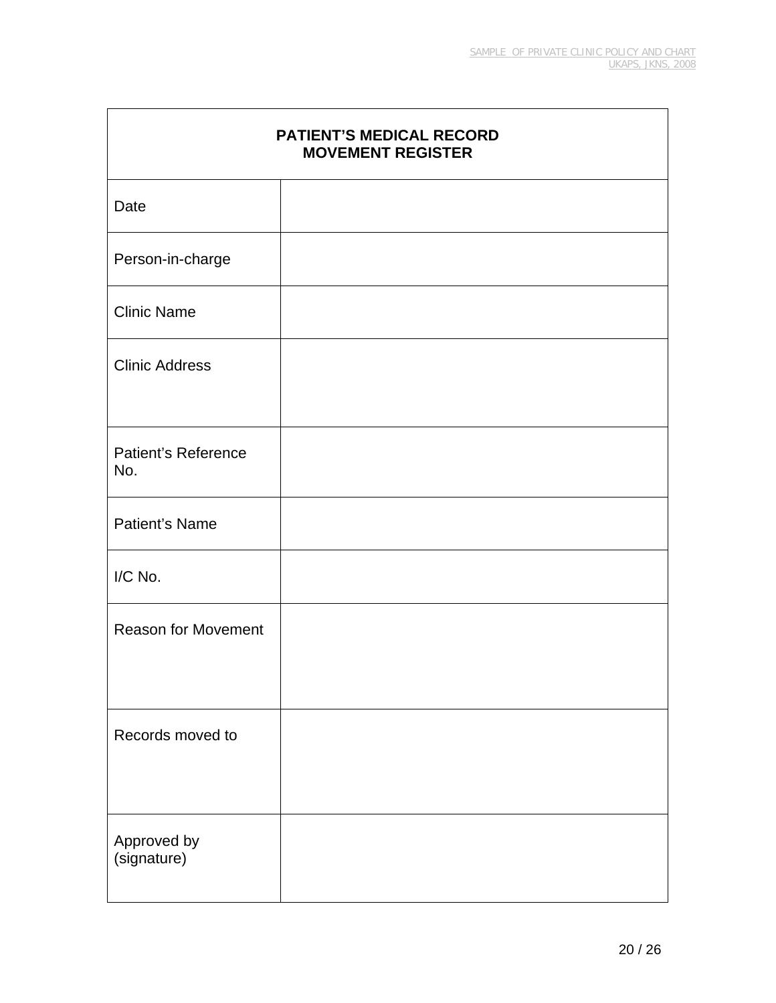| <b>PATIENT'S MEDICAL RECORD</b><br><b>MOVEMENT REGISTER</b> |  |  |
|-------------------------------------------------------------|--|--|
| Date                                                        |  |  |
| Person-in-charge                                            |  |  |
| <b>Clinic Name</b>                                          |  |  |
| <b>Clinic Address</b>                                       |  |  |
| <b>Patient's Reference</b><br>No.                           |  |  |
| Patient's Name                                              |  |  |
| I/C No.                                                     |  |  |
| <b>Reason for Movement</b>                                  |  |  |
| Records moved to                                            |  |  |
| Approved by<br>(signature)                                  |  |  |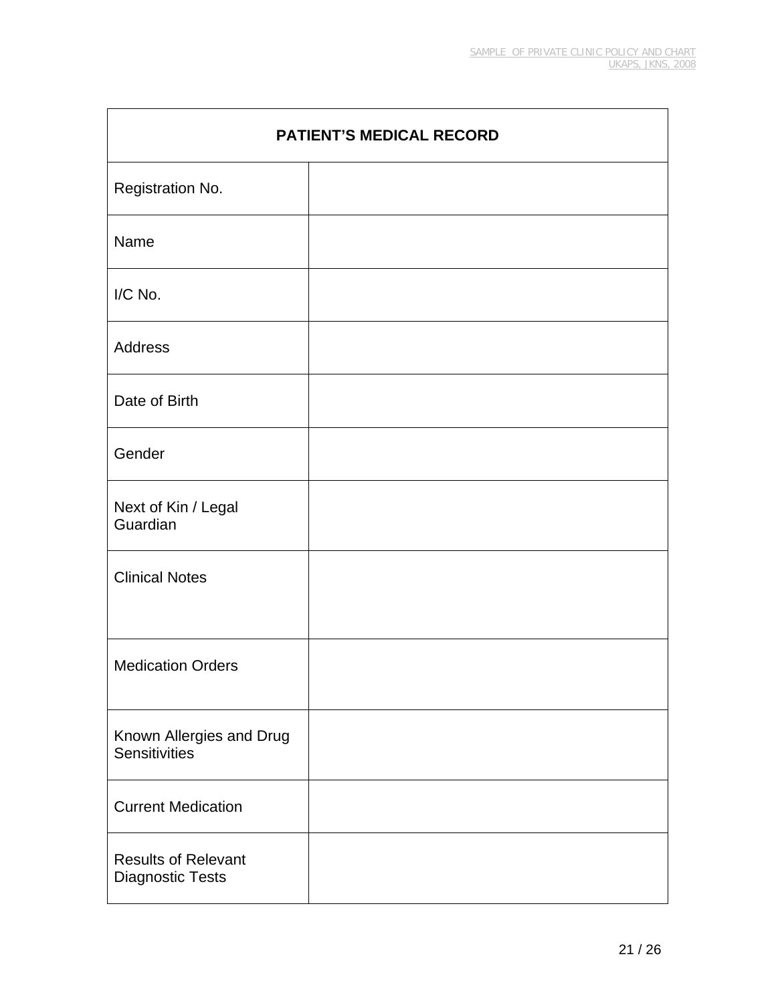|                                                       | <b>PATIENT'S MEDICAL RECORD</b> |
|-------------------------------------------------------|---------------------------------|
| Registration No.                                      |                                 |
| Name                                                  |                                 |
| I/C No.                                               |                                 |
| Address                                               |                                 |
| Date of Birth                                         |                                 |
| Gender                                                |                                 |
| Next of Kin / Legal<br>Guardian                       |                                 |
| <b>Clinical Notes</b>                                 |                                 |
| <b>Medication Orders</b>                              |                                 |
| Known Allergies and Drug<br>Sensitivities             |                                 |
| <b>Current Medication</b>                             |                                 |
| <b>Results of Relevant</b><br><b>Diagnostic Tests</b> |                                 |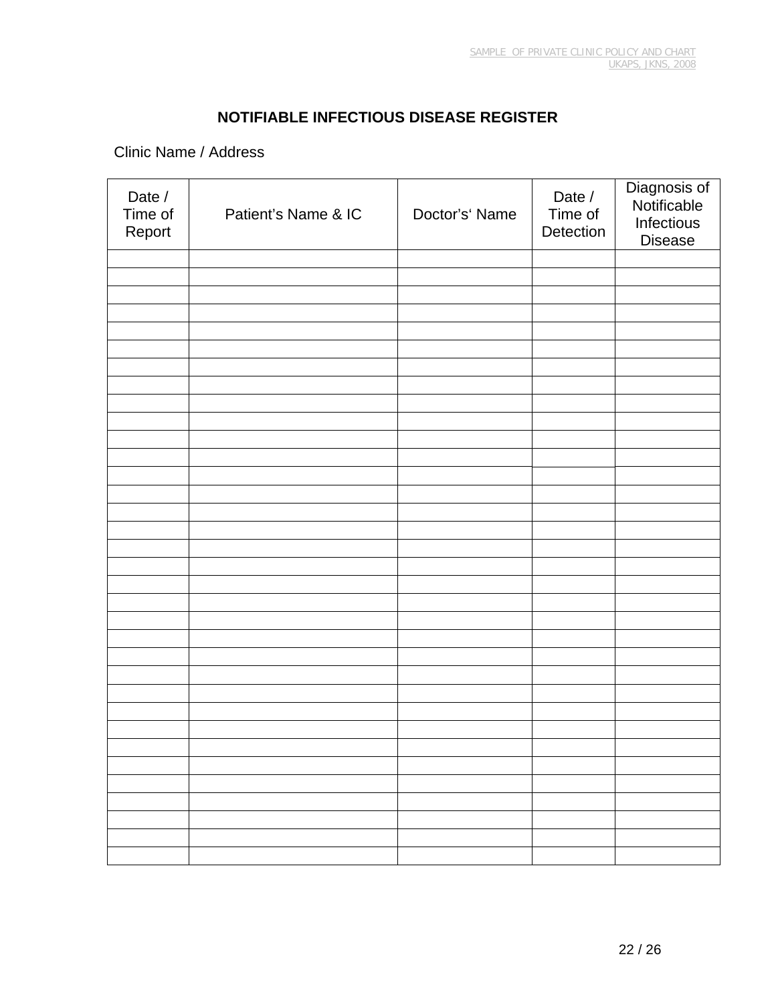# **NOTIFIABLE INFECTIOUS DISEASE REGISTER**

Clinic Name / Address

| Date /<br>Time of<br>Report | Patient's Name & IC | Doctor's' Name | Date /<br>Time of<br>Detection | Diagnosis of<br>Notificable<br>Infectious<br>Disease |
|-----------------------------|---------------------|----------------|--------------------------------|------------------------------------------------------|
|                             |                     |                |                                |                                                      |
|                             |                     |                |                                |                                                      |
|                             |                     |                |                                |                                                      |
|                             |                     |                |                                |                                                      |
|                             |                     |                |                                |                                                      |
|                             |                     |                |                                |                                                      |
|                             |                     |                |                                |                                                      |
|                             |                     |                |                                |                                                      |
|                             |                     |                |                                |                                                      |
|                             |                     |                |                                |                                                      |
|                             |                     |                |                                |                                                      |
|                             |                     |                |                                |                                                      |
|                             |                     |                |                                |                                                      |
|                             |                     |                |                                |                                                      |
|                             |                     |                |                                |                                                      |
|                             |                     |                |                                |                                                      |
|                             |                     |                |                                |                                                      |
|                             |                     |                |                                |                                                      |
|                             |                     |                |                                |                                                      |
|                             |                     |                |                                |                                                      |
|                             |                     |                |                                |                                                      |
|                             |                     |                |                                |                                                      |
|                             |                     |                |                                |                                                      |
|                             |                     |                |                                |                                                      |
|                             |                     |                |                                |                                                      |
|                             |                     |                |                                |                                                      |
|                             |                     |                |                                |                                                      |
|                             |                     |                |                                |                                                      |
|                             |                     |                |                                |                                                      |
|                             |                     |                |                                |                                                      |
|                             |                     |                |                                |                                                      |
|                             |                     |                |                                |                                                      |
|                             |                     |                |                                |                                                      |
|                             |                     |                |                                |                                                      |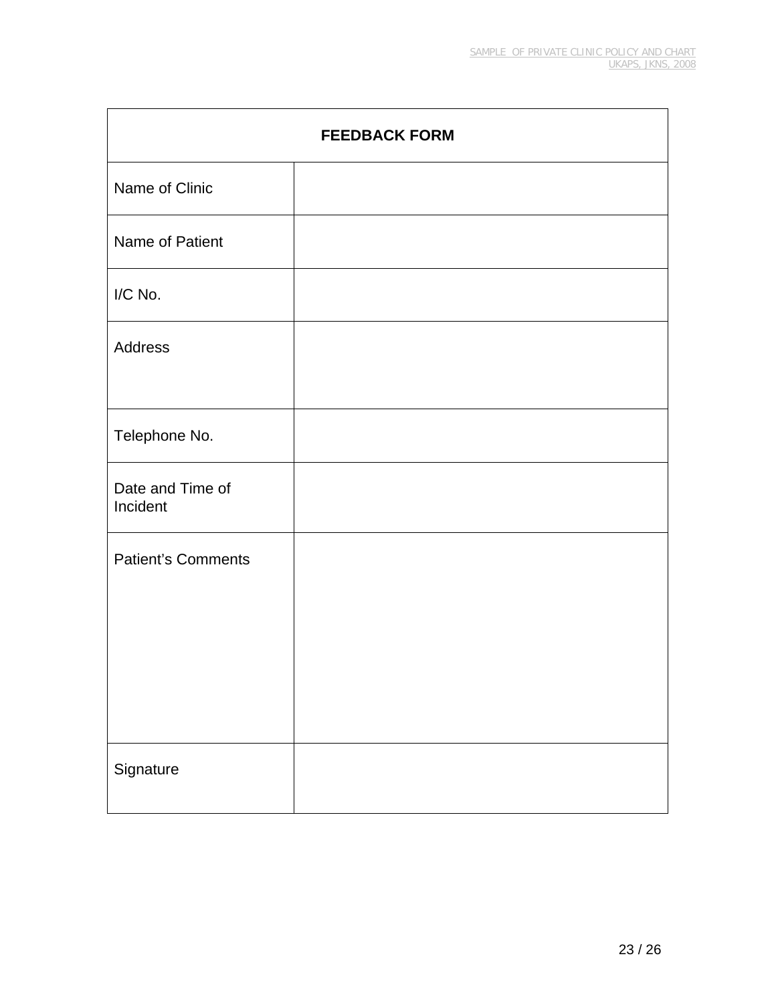| <b>FEEDBACK FORM</b>         |  |  |
|------------------------------|--|--|
| Name of Clinic               |  |  |
| Name of Patient              |  |  |
| I/C No.                      |  |  |
| Address                      |  |  |
|                              |  |  |
| Telephone No.                |  |  |
| Date and Time of<br>Incident |  |  |
| <b>Patient's Comments</b>    |  |  |
|                              |  |  |
|                              |  |  |
|                              |  |  |
|                              |  |  |
| Signature                    |  |  |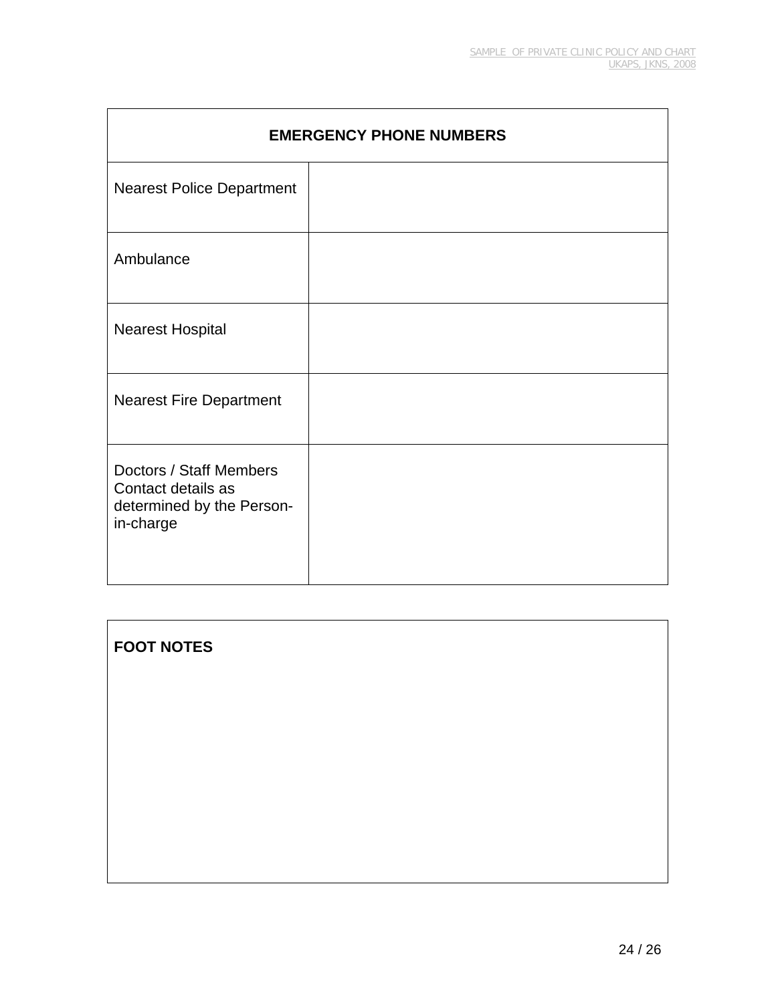| <b>EMERGENCY PHONE NUMBERS</b>                                                          |  |  |
|-----------------------------------------------------------------------------------------|--|--|
| <b>Nearest Police Department</b>                                                        |  |  |
| Ambulance                                                                               |  |  |
| <b>Nearest Hospital</b>                                                                 |  |  |
| <b>Nearest Fire Department</b>                                                          |  |  |
| Doctors / Staff Members<br>Contact details as<br>determined by the Person-<br>in-charge |  |  |

| <b>FOOT NOTES</b> |  |  |  |
|-------------------|--|--|--|
|                   |  |  |  |
|                   |  |  |  |
|                   |  |  |  |
|                   |  |  |  |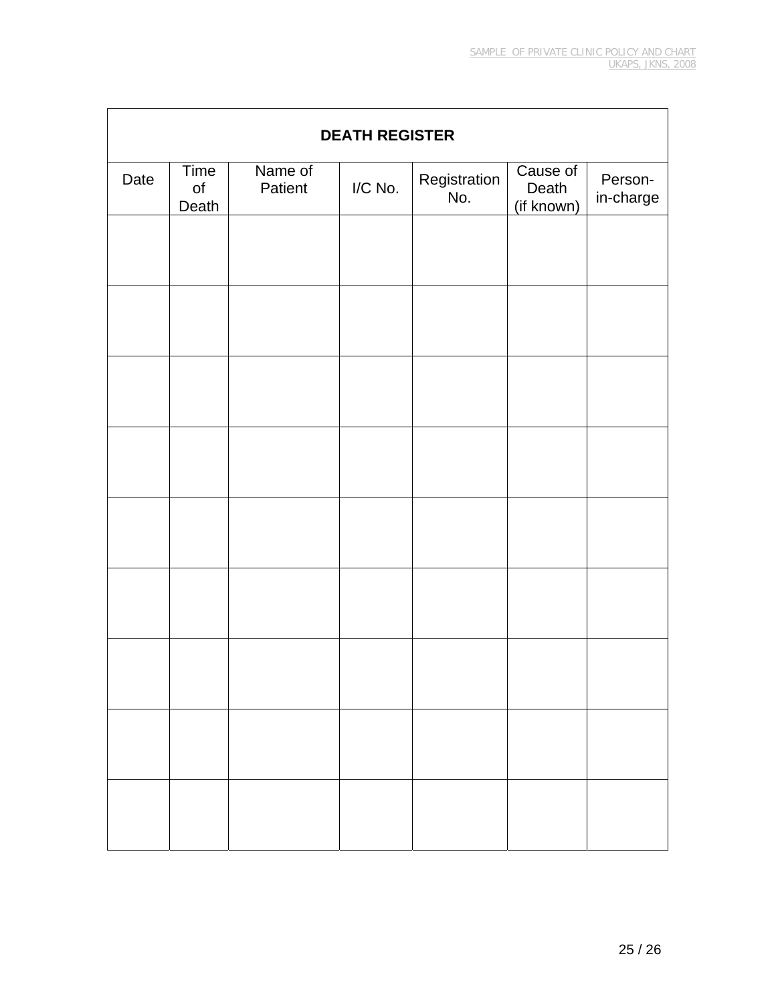$\overline{\phantom{0}}$ 

|      | <b>DEATH REGISTER</b>      |                    |         |                     |                                 |                      |
|------|----------------------------|--------------------|---------|---------------------|---------------------------------|----------------------|
| Date | Time<br>$\circ$ f<br>Death | Name of<br>Patient | I/C No. | Registration<br>No. | Cause of<br>Death<br>(if known) | Person-<br>in-charge |
|      |                            |                    |         |                     |                                 |                      |
|      |                            |                    |         |                     |                                 |                      |
|      |                            |                    |         |                     |                                 |                      |
|      |                            |                    |         |                     |                                 |                      |
|      |                            |                    |         |                     |                                 |                      |
|      |                            |                    |         |                     |                                 |                      |
|      |                            |                    |         |                     |                                 |                      |
|      |                            |                    |         |                     |                                 |                      |
|      |                            |                    |         |                     |                                 |                      |

Ī